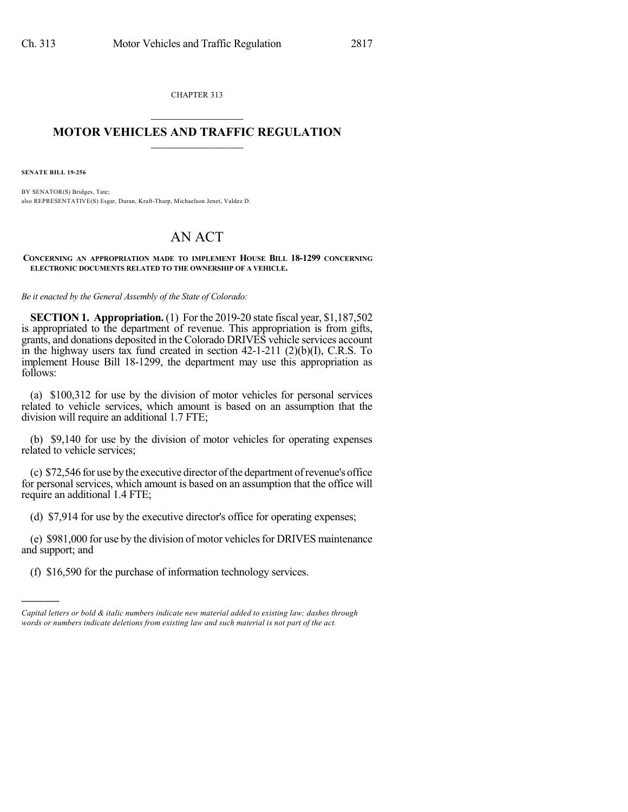CHAPTER 313  $\mathcal{L}_\text{max}$  . The set of the set of the set of the set of the set of the set of the set of the set of the set of the set of the set of the set of the set of the set of the set of the set of the set of the set of the set

## **MOTOR VEHICLES AND TRAFFIC REGULATION**  $\_$   $\_$   $\_$   $\_$   $\_$   $\_$   $\_$   $\_$   $\_$   $\_$

**SENATE BILL 19-256**

)))))

BY SENATOR(S) Bridges, Tate; also REPRESENTATIVE(S) Esgar, Duran, Kraft-Tharp, Michaelson Jenet, Valdez D.

## AN ACT

**CONCERNING AN APPROPRIATION MADE TO IMPLEMENT HOUSE BILL 18-1299 CONCERNING ELECTRONIC DOCUMENTS RELATED TO THE OWNERSHIP OF A VEHICLE.**

*Be it enacted by the General Assembly of the State of Colorado:*

**SECTION 1. Appropriation.** (1) For the 2019-20 state fiscal year, \$1,187,502 is appropriated to the department of revenue. This appropriation is from gifts, grants, and donations deposited in the Colorado DRIVES vehicle services account in the highway users tax fund created in section 42-1-211 (2)(b)(I), C.R.S. To implement House Bill 18-1299, the department may use this appropriation as follows:

(a) \$100,312 for use by the division of motor vehicles for personal services related to vehicle services, which amount is based on an assumption that the division will require an additional 1.7 FTE;

(b) \$9,140 for use by the division of motor vehicles for operating expenses related to vehicle services;

(c) \$72,546 for use bythe executive director ofthe department ofrevenue's office for personal services, which amount is based on an assumption that the office will require an additional 1.4 FTE;

(d) \$7,914 for use by the executive director's office for operating expenses;

(e) \$981,000 for use by the division of motor vehicles for DRIVES maintenance and support; and

(f) \$16,590 for the purchase of information technology services.

*Capital letters or bold & italic numbers indicate new material added to existing law; dashes through words or numbers indicate deletions from existing law and such material is not part of the act.*